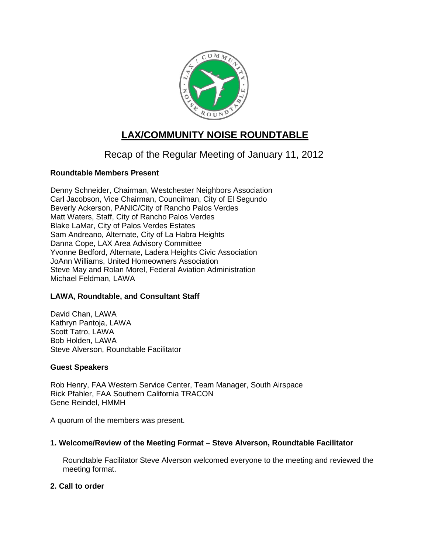

# **LAX/COMMUNITY NOISE ROUNDTABLE**

## Recap of the Regular Meeting of January 11, 2012

## **Roundtable Members Present**

Denny Schneider, Chairman, Westchester Neighbors Association Carl Jacobson, Vice Chairman, Councilman, City of El Segundo Beverly Ackerson, PANIC/City of Rancho Palos Verdes Matt Waters, Staff, City of Rancho Palos Verdes Blake LaMar, City of Palos Verdes Estates Sam Andreano, Alternate, City of La Habra Heights Danna Cope, LAX Area Advisory Committee Yvonne Bedford, Alternate, Ladera Heights Civic Association JoAnn Williams, United Homeowners Association Steve May and Rolan Morel, Federal Aviation Administration Michael Feldman, LAWA

## **LAWA, Roundtable, and Consultant Staff**

David Chan, LAWA Kathryn Pantoja, LAWA Scott Tatro, LAWA Bob Holden, LAWA Steve Alverson, Roundtable Facilitator

## **Guest Speakers**

Rob Henry, FAA Western Service Center, Team Manager, South Airspace Rick Pfahler, FAA Southern California TRACON Gene Reindel, HMMH

A quorum of the members was present.

## **1. Welcome/Review of the Meeting Format – Steve Alverson, Roundtable Facilitator**

Roundtable Facilitator Steve Alverson welcomed everyone to the meeting and reviewed the meeting format.

## **2. Call to order**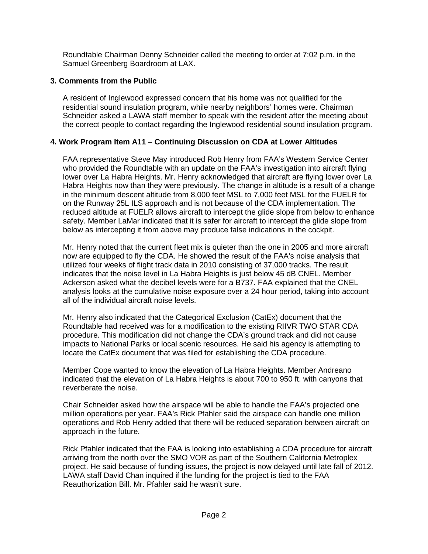Roundtable Chairman Denny Schneider called the meeting to order at 7:02 p.m. in the Samuel Greenberg Boardroom at LAX.

## **3. Comments from the Public**

A resident of Inglewood expressed concern that his home was not qualified for the residential sound insulation program, while nearby neighbors' homes were. Chairman Schneider asked a LAWA staff member to speak with the resident after the meeting about the correct people to contact regarding the Inglewood residential sound insulation program.

## **4. Work Program Item A11 – Continuing Discussion on CDA at Lower Altitudes**

FAA representative Steve May introduced Rob Henry from FAA's Western Service Center who provided the Roundtable with an update on the FAA's investigation into aircraft flying lower over La Habra Heights. Mr. Henry acknowledged that aircraft are flying lower over La Habra Heights now than they were previously. The change in altitude is a result of a change in the minimum descent altitude from 8,000 feet MSL to 7,000 feet MSL for the FUELR fix on the Runway 25L ILS approach and is not because of the CDA implementation. The reduced altitude at FUELR allows aircraft to intercept the glide slope from below to enhance safety. Member LaMar indicated that it is safer for aircraft to intercept the glide slope from below as intercepting it from above may produce false indications in the cockpit.

Mr. Henry noted that the current fleet mix is quieter than the one in 2005 and more aircraft now are equipped to fly the CDA. He showed the result of the FAA's noise analysis that utilized four weeks of flight track data in 2010 consisting of 37,000 tracks. The result indicates that the noise level in La Habra Heights is just below 45 dB CNEL. Member Ackerson asked what the decibel levels were for a B737. FAA explained that the CNEL analysis looks at the cumulative noise exposure over a 24 hour period, taking into account all of the individual aircraft noise levels.

Mr. Henry also indicated that the Categorical Exclusion (CatEx) document that the Roundtable had received was for a modification to the existing RIIVR TWO STAR CDA procedure. This modification did not change the CDA's ground track and did not cause impacts to National Parks or local scenic resources. He said his agency is attempting to locate the CatEx document that was filed for establishing the CDA procedure.

Member Cope wanted to know the elevation of La Habra Heights. Member Andreano indicated that the elevation of La Habra Heights is about 700 to 950 ft. with canyons that reverberate the noise.

Chair Schneider asked how the airspace will be able to handle the FAA's projected one million operations per year. FAA's Rick Pfahler said the airspace can handle one million operations and Rob Henry added that there will be reduced separation between aircraft on approach in the future.

Rick Pfahler indicated that the FAA is looking into establishing a CDA procedure for aircraft arriving from the north over the SMO VOR as part of the Southern California Metroplex project. He said because of funding issues, the project is now delayed until late fall of 2012. LAWA staff David Chan inquired if the funding for the project is tied to the FAA Reauthorization Bill. Mr. Pfahler said he wasn't sure.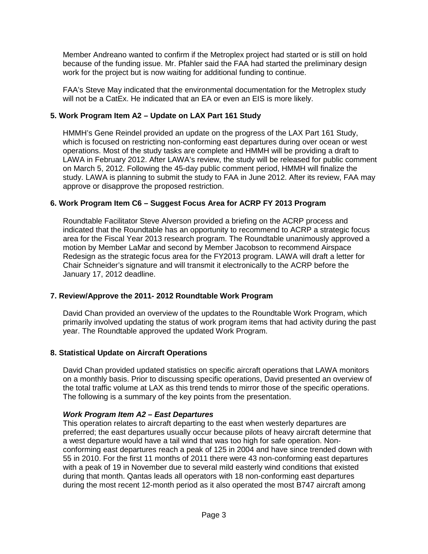Member Andreano wanted to confirm if the Metroplex project had started or is still on hold because of the funding issue. Mr. Pfahler said the FAA had started the preliminary design work for the project but is now waiting for additional funding to continue.

FAA's Steve May indicated that the environmental documentation for the Metroplex study will not be a CatEx. He indicated that an EA or even an EIS is more likely.

### **5. Work Program Item A2 – Update on LAX Part 161 Study**

HMMH's Gene Reindel provided an update on the progress of the LAX Part 161 Study, which is focused on restricting non-conforming east departures during over ocean or west operations. Most of the study tasks are complete and HMMH will be providing a draft to LAWA in February 2012. After LAWA's review, the study will be released for public comment on March 5, 2012. Following the 45-day public comment period, HMMH will finalize the study. LAWA is planning to submit the study to FAA in June 2012. After its review, FAA may approve or disapprove the proposed restriction.

### **6. Work Program Item C6 – Suggest Focus Area for ACRP FY 2013 Program**

Roundtable Facilitator Steve Alverson provided a briefing on the ACRP process and indicated that the Roundtable has an opportunity to recommend to ACRP a strategic focus area for the Fiscal Year 2013 research program. The Roundtable unanimously approved a motion by Member LaMar and second by Member Jacobson to recommend Airspace Redesign as the strategic focus area for the FY2013 program. LAWA will draft a letter for Chair Schneider's signature and will transmit it electronically to the ACRP before the January 17, 2012 deadline.

#### **7. Review/Approve the 2011- 2012 Roundtable Work Program**

David Chan provided an overview of the updates to the Roundtable Work Program, which primarily involved updating the status of work program items that had activity during the past year. The Roundtable approved the updated Work Program.

#### **8. Statistical Update on Aircraft Operations**

David Chan provided updated statistics on specific aircraft operations that LAWA monitors on a monthly basis. Prior to discussing specific operations, David presented an overview of the total traffic volume at LAX as this trend tends to mirror those of the specific operations. The following is a summary of the key points from the presentation.

#### *Work Program Item A2 – East Departures*

This operation relates to aircraft departing to the east when westerly departures are preferred; the east departures usually occur because pilots of heavy aircraft determine that a west departure would have a tail wind that was too high for safe operation. Nonconforming east departures reach a peak of 125 in 2004 and have since trended down with 55 in 2010. For the first 11 months of 2011 there were 43 non-conforming east departures with a peak of 19 in November due to several mild easterly wind conditions that existed during that month. Qantas leads all operators with 18 non-conforming east departures during the most recent 12-month period as it also operated the most B747 aircraft among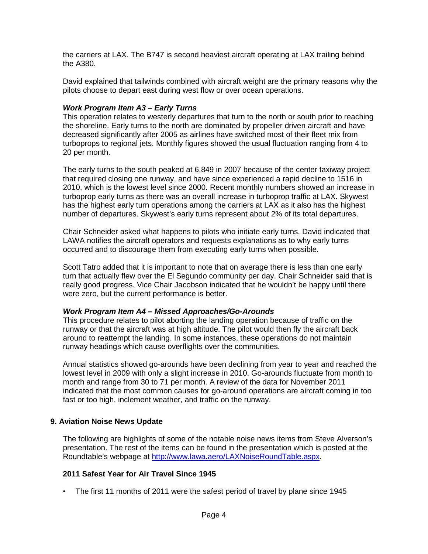the carriers at LAX. The B747 is second heaviest aircraft operating at LAX trailing behind the A380.

David explained that tailwinds combined with aircraft weight are the primary reasons why the pilots choose to depart east during west flow or over ocean operations.

#### *Work Program Item A3 – Early Turns*

This operation relates to westerly departures that turn to the north or south prior to reaching the shoreline. Early turns to the north are dominated by propeller driven aircraft and have decreased significantly after 2005 as airlines have switched most of their fleet mix from turboprops to regional jets. Monthly figures showed the usual fluctuation ranging from 4 to 20 per month.

The early turns to the south peaked at 6,849 in 2007 because of the center taxiway project that required closing one runway, and have since experienced a rapid decline to 1516 in 2010, which is the lowest level since 2000. Recent monthly numbers showed an increase in turboprop early turns as there was an overall increase in turboprop traffic at LAX. Skywest has the highest early turn operations among the carriers at LAX as it also has the highest number of departures. Skywest's early turns represent about 2% of its total departures.

Chair Schneider asked what happens to pilots who initiate early turns. David indicated that LAWA notifies the aircraft operators and requests explanations as to why early turns occurred and to discourage them from executing early turns when possible.

Scott Tatro added that it is important to note that on average there is less than one early turn that actually flew over the El Segundo community per day. Chair Schneider said that is really good progress. Vice Chair Jacobson indicated that he wouldn't be happy until there were zero, but the current performance is better.

#### *Work Program Item A4 – Missed Approaches/Go-Arounds*

This procedure relates to pilot aborting the landing operation because of traffic on the runway or that the aircraft was at high altitude. The pilot would then fly the aircraft back around to reattempt the landing. In some instances, these operations do not maintain runway headings which cause overflights over the communities.

Annual statistics showed go-arounds have been declining from year to year and reached the lowest level in 2009 with only a slight increase in 2010. Go-arounds fluctuate from month to month and range from 30 to 71 per month. A review of the data for November 2011 indicated that the most common causes for go-around operations are aircraft coming in too fast or too high, inclement weather, and traffic on the runway.

#### **9. Aviation Noise News Update**

The following are highlights of some of the notable noise news items from Steve Alverson's presentation. The rest of the items can be found in the presentation which is posted at the Roundtable's webpage at [http://www.lawa.aero/LAXNoiseRoundTable.aspx.](http://www.lawa.aero/LAXNoiseRoundTable.aspx)

#### **2011 Safest Year for Air Travel Since 1945**

• The first 11 months of 2011 were the safest period of travel by plane since 1945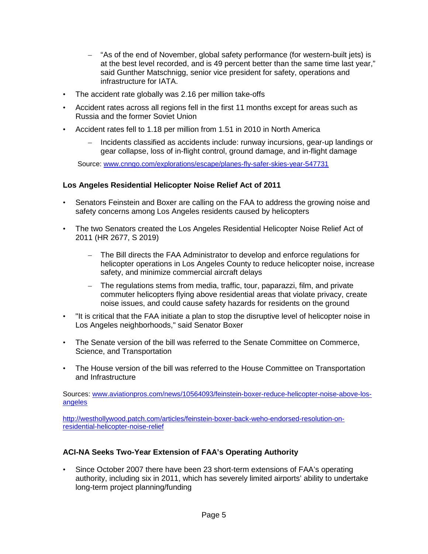- "As of the end of November, global safety performance (for western-built jets) is at the best level recorded, and is 49 percent better than the same time last year," said Gunther Matschnigg, senior vice president for safety, operations and infrastructure for IATA.
- The accident rate globally was 2.16 per million take-offs
- Accident rates across all regions fell in the first 11 months except for areas such as Russia and the former Soviet Union
- Accident rates fell to 1.18 per million from 1.51 in 2010 in North America
	- Incidents classified as accidents include: runway incursions, gear-up landings or gear collapse, loss of in-flight control, ground damage, and in-flight damage

Source: [www.cnngo.com/explorations/escape/planes-fly-safer-skies-year-547731](http://www.cnngo.com/explorations/escape/planes-fly-safer-skies-year-547731)

#### **Los Angeles Residential Helicopter Noise Relief Act of 2011**

- Senators Feinstein and Boxer are calling on the FAA to address the growing noise and safety concerns among Los Angeles residents caused by helicopters
- The two Senators created the Los Angeles Residential Helicopter Noise Relief Act of 2011 (HR 2677, S 2019)
	- The Bill directs the FAA Administrator to develop and enforce regulations for helicopter operations in Los Angeles County to reduce helicopter noise, increase safety, and minimize commercial aircraft delays
	- The regulations stems from media, traffic, tour, paparazzi, film, and private commuter helicopters flying above residential areas that violate privacy, create noise issues, and could cause safety hazards for residents on the ground
- "It is critical that the FAA initiate a plan to stop the disruptive level of helicopter noise in Los Angeles neighborhoods," said Senator Boxer
- The Senate version of the bill was referred to the Senate Committee on Commerce, Science, and Transportation
- The House version of the bill was referred to the House Committee on Transportation and Infrastructure

Sources: [www.aviationpros.com/news/10564093/feinstein-boxer-reduce-helicopter-noise-above-los](http://www.aviationpros.com/news/10564093/feinstein-boxer-reduce-helicopter-noise-above-los-angeles)[angeles](http://www.aviationpros.com/news/10564093/feinstein-boxer-reduce-helicopter-noise-above-los-angeles)

[http://westhollywood.patch.com/articles/feinstein-boxer-back-weho-endorsed-resolution-on](http://westhollywood.patch.com/articles/feinstein-boxer-back-weho-endorsed-resolution-on-residential-helicopter-noise-relief)[residential-helicopter-noise-relief](http://westhollywood.patch.com/articles/feinstein-boxer-back-weho-endorsed-resolution-on-residential-helicopter-noise-relief)

#### **ACI-NA Seeks Two-Year Extension of FAA's Operating Authority**

• Since October 2007 there have been 23 short-term extensions of FAA's operating authority, including six in 2011, which has severely limited airports' ability to undertake long-term project planning/funding